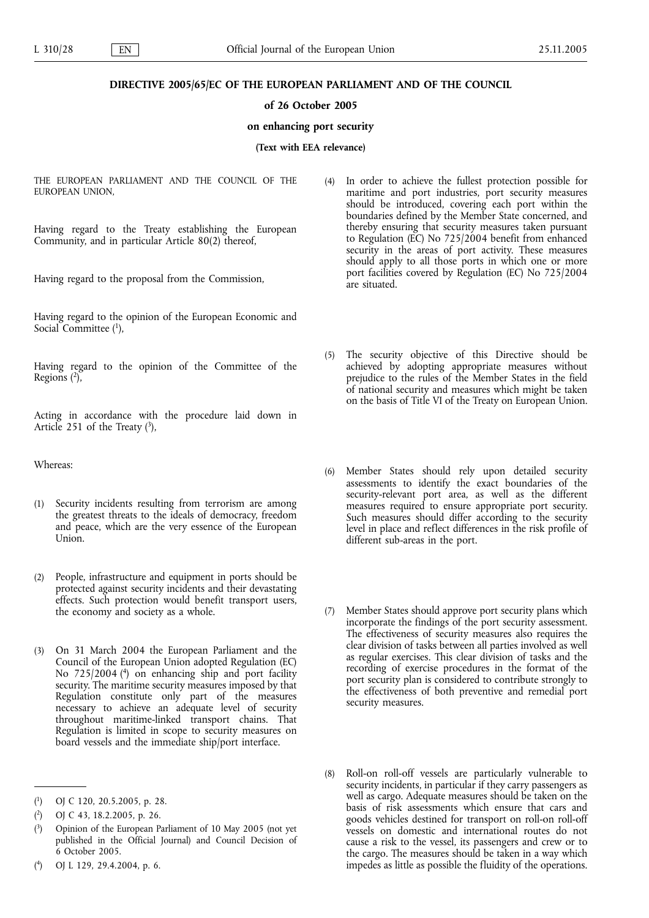## DIRECTIVE 2005/65/EC OF THE EUROPEAN PARLIAMENT AND OF THE COUNCIL

## of 26 October 2005

#### on enhancing port security

(Text with EEA relevance)

THE EUROPEAN PARLIAMENT AND THE COUNCIL OF THE EUROPEAN UNION,

Having regard to the Treaty establishing the European Community, and in particular Article 80(2) thereof,

Having regard to the proposal from the Commission,

Having regard to the opinion of the European Economic and Social Committee (1),

Having regard to the opinion of the Committee of the Regions  $(2)$ ,

Acting in accordance with the procedure laid down in Article 251 of the Treaty  $(3)$ ,

Whereas:

- (1) Security incidents resulting from terrorism are among the greatest threats to the ideals of democracy, freedom and peace, which are the very essence of the European Union.
- (2) People, infrastructure and equipment in ports should be protected against security incidents and their devastating effects. Such protection would benefit transport users, the economy and society as a whole.
- (3) On 31 March 2004 the European Parliament and the Council of the European Union adopted Regulation (EC) No 725/2004 (4) on enhancing ship and port facility security. The maritime security measures imposed by that Regulation constitute only part of the measures necessary to achieve an adequate level of security throughout maritime-linked transport chains. That Regulation is limited in scope to security measures on board vessels and the immediate ship/port interface.
- (4) In order to achieve the fullest protection possible for maritime and port industries, port security measures should be introduced, covering each port within the boundaries defined by the Member State concerned, and thereby ensuring that security measures taken pursuant to Regulation (EC) No 725/2004 benefit from enhanced security in the areas of port activity. These measures should apply to all those ports in which one or more port facilities covered by Regulation (EC) No 725/2004 are situated.
- (5) The security objective of this Directive should be achieved by adopting appropriate measures without prejudice to the rules of the Member States in the field of national security and measures which might be taken on the basis of Title VI of the Treaty on European Union.
- (6) Member States should rely upon detailed security assessments to identify the exact boundaries of the security-relevant port area, as well as the different measures required to ensure appropriate port security. Such measures should differ according to the security level in place and reflect differences in the risk profile of different sub-areas in the port.
- (7) Member States should approve port security plans which incorporate the findings of the port security assessment. The effectiveness of security measures also requires the clear division of tasks between all parties involved as well as regular exercises. This clear division of tasks and the recording of exercise procedures in the format of the port security plan is considered to contribute strongly to the effectiveness of both preventive and remedial port security measures.
- (8) Roll-on roll-off vessels are particularly vulnerable to security incidents, in particular if they carry passengers as well as cargo. Adequate measures should be taken on the basis of risk assessments which ensure that cars and goods vehicles destined for transport on roll-on roll-off vessels on domestic and international routes do not cause a risk to the vessel, its passengers and crew or to the cargo. The measures should be taken in a way which impedes as little as possible the fluidity of the operations.

 $(1)$ 1) OJ C 120, 20.5.2005, p. 28.

 $(2)$ 2) OJ C 43, 18.2.2005, p. 26.

 $\binom{3}{ }$ 3) Opinion of the European Parliament of 10 May 2005 (not yet published in the Official Journal) and Council Decision of 6 October 2005.

 $(4)$ 4) OJ L 129, 29.4.2004, p. 6.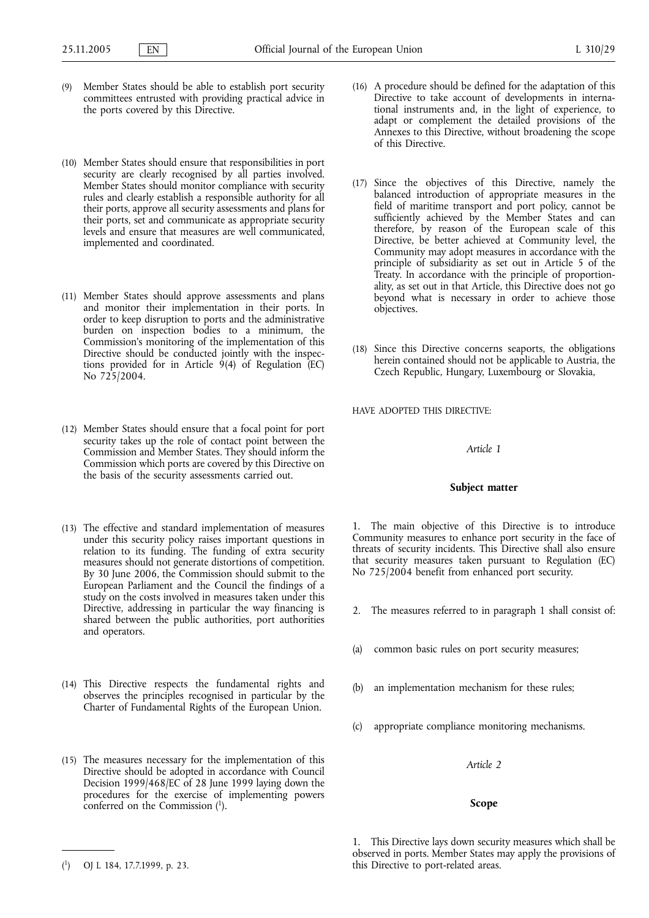- (9) Member States should be able to establish port security committees entrusted with providing practical advice in the ports covered by this Directive.
- (10) Member States should ensure that responsibilities in port security are clearly recognised by all parties involved. Member States should monitor compliance with security rules and clearly establish a responsible authority for all their ports, approve all security assessments and plans for their ports, set and communicate as appropriate security levels and ensure that measures are well communicated, implemented and coordinated.
- (11) Member States should approve assessments and plans and monitor their implementation in their ports. In order to keep disruption to ports and the administrative burden on inspection bodies to a minimum, the Commission's monitoring of the implementation of this Directive should be conducted jointly with the inspections provided for in Article  $9(4)$  of Regulation (EC) No 725/2004.
- (12) Member States should ensure that a focal point for port security takes up the role of contact point between the Commission and Member States. They should inform the Commission which ports are covered by this Directive on the basis of the security assessments carried out.
- (13) The effective and standard implementation of measures under this security policy raises important questions in relation to its funding. The funding of extra security measures should not generate distortions of competition. By 30 June 2006, the Commission should submit to the European Parliament and the Council the findings of a study on the costs involved in measures taken under this Directive, addressing in particular the way financing is shared between the public authorities, port authorities and operators.
- (14) This Directive respects the fundamental rights and observes the principles recognised in particular by the Charter of Fundamental Rights of the European Union.
- (15) The measures necessary for the implementation of this Directive should be adopted in accordance with Council Decision 1999/468/EC of 28 June 1999 laying down the procedures for the exercise of implementing powers conferred on the Commission (1).
- (16) A procedure should be defined for the adaptation of this Directive to take account of developments in international instruments and, in the light of experience, to adapt or complement the detailed provisions of the Annexes to this Directive, without broadening the scope of this Directive.
- (17) Since the objectives of this Directive, namely the balanced introduction of appropriate measures in the field of maritime transport and port policy, cannot be sufficiently achieved by the Member States and can therefore, by reason of the European scale of this Directive, be better achieved at Community level, the Community may adopt measures in accordance with the principle of subsidiarity as set out in Article 5 of the Treaty. In accordance with the principle of proportionality, as set out in that Article, this Directive does not go beyond what is necessary in order to achieve those objectives.
- (18) Since this Directive concerns seaports, the obligations herein contained should not be applicable to Austria, the Czech Republic, Hungary, Luxembourg or Slovakia,

HAVE ADOPTED THIS DIRECTIVE:

## Article 1

#### Subject matter

1. The main objective of this Directive is to introduce Community measures to enhance port security in the face of threats of security incidents. This Directive shall also ensure that security measures taken pursuant to Regulation (EC) No 725/2004 benefit from enhanced port security.

- 2. The measures referred to in paragraph 1 shall consist of:
- (a) common basic rules on port security measures;
- an implementation mechanism for these rules;
- (c) appropriate compliance monitoring mechanisms.

## Article 2

# Scope

1. This Directive lays down security measures which shall be observed in ports. Member States may apply the provisions of this Directive to port-related areas.

<sup>(</sup> 1) OJ L 184, 17.7.1999, p. 23.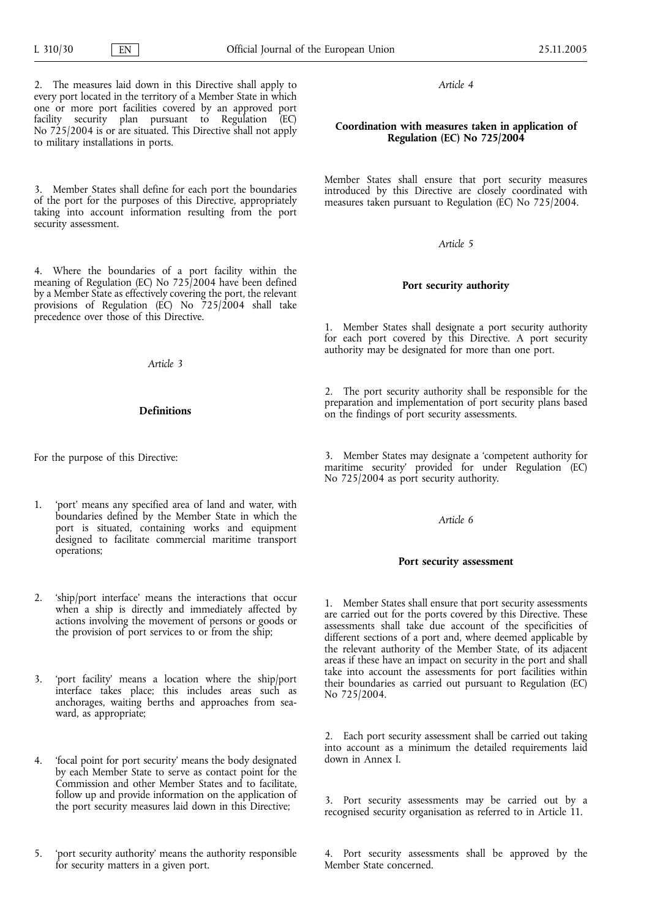Article 4

# Coordination with measures taken in application of Regulation (EC) No 725/2004

Member States shall ensure that port security measures introduced by this Directive are closely coordinated with measures taken pursuant to Regulation (EC) No 725/2004.

## Article 5

## Port security authority

1. Member States shall designate a port security authority for each port covered by this Directive. A port security authority may be designated for more than one port.

2. The port security authority shall be responsible for the preparation and implementation of port security plans based on the findings of port security assessments.

3. Member States may designate a 'competent authority for maritime security' provided for under Regulation (EC) No 725/2004 as port security authority.

# Article 6

## Port security assessment

1. Member States shall ensure that port security assessments are carried out for the ports covered by this Directive. These assessments shall take due account of the specificities of different sections of a port and, where deemed applicable by the relevant authority of the Member State, of its adjacent areas if these have an impact on security in the port and shall take into account the assessments for port facilities within their boundaries as carried out pursuant to Regulation (EC) No 725/2004.

2. Each port security assessment shall be carried out taking into account as a minimum the detailed requirements laid down in Annex I.

3. Port security assessments may be carried out by a recognised security organisation as referred to in Article 11.

4. Port security assessments shall be approved by the Member State concerned.

2. The measures laid down in this Directive shall apply to every port located in the territory of a Member State in which one or more port facilities covered by an approved port facility security plan pursuant to Regulation (EC) No  $725/2004$  is or are situated. This Directive shall not apply to military installations in ports.

3. Member States shall define for each port the boundaries of the port for the purposes of this Directive, appropriately taking into account information resulting from the port security assessment.

4. Where the boundaries of a port facility within the meaning of Regulation (EC) No 725/2004 have been defined by a Member State as effectively covering the port, the relevant provisions of Regulation (EC) No 725/2004 shall take precedence over those of this Directive.

Article 3

# Definitions

For the purpose of this Directive:

- 1. 'port' means any specified area of land and water, with boundaries defined by the Member State in which the port is situated, containing works and equipment designed to facilitate commercial maritime transport operations;
- 2. 'ship/port interface' means the interactions that occur when a ship is directly and immediately affected by actions involving the movement of persons or goods or the provision of port services to or from the ship;
- 3. 'port facility' means a location where the ship/port interface takes place; this includes areas such as anchorages, waiting berths and approaches from seaward, as appropriate;
- 4. 'focal point for port security' means the body designated by each Member State to serve as contact point for the Commission and other Member States and to facilitate, follow up and provide information on the application of the port security measures laid down in this Directive;
- 5. 'port security authority' means the authority responsible for security matters in a given port.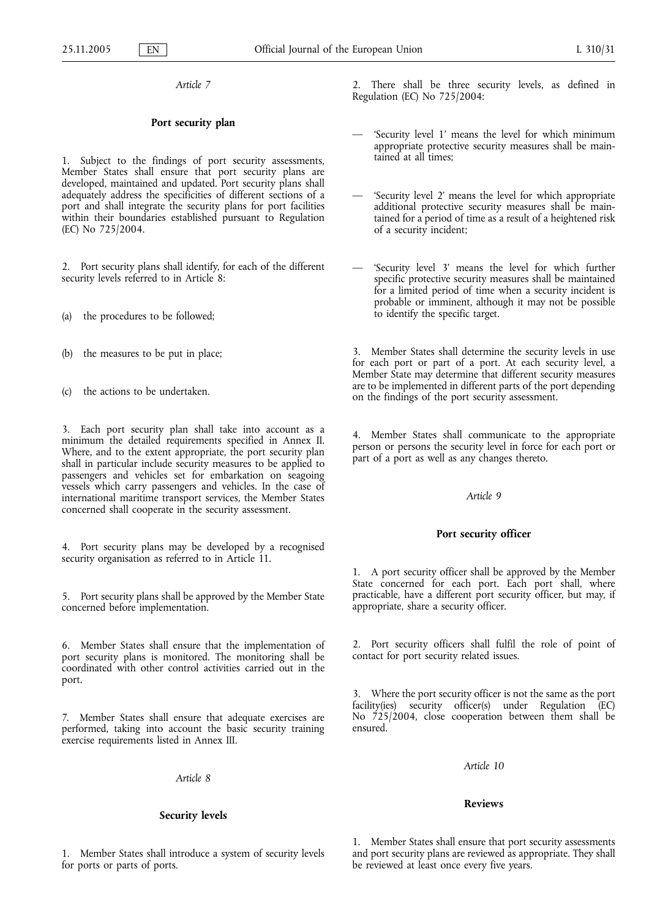Article 7

## Port security plan

1. Subject to the findings of port security assessments, Member States shall ensure that port security plans are developed, maintained and updated. Port security plans shall adequately address the specificities of different sections of a port and shall integrate the security plans for port facilities within their boundaries established pursuant to Regulation (EC) No 725/2004.

2. Port security plans shall identify, for each of the different security levels referred to in Article 8:

(a) the procedures to be followed;

(b) the measures to be put in place;

(c) the actions to be undertaken.

3. Each port security plan shall take into account as a minimum the detailed requirements specified in Annex II. Where, and to the extent appropriate, the port security plan shall in particular include security measures to be applied to passengers and vehicles set for embarkation on seagoing vessels which carry passengers and vehicles. In the case of international maritime transport services, the Member States concerned shall cooperate in the security assessment.

4. Port security plans may be developed by a recognised security organisation as referred to in Article 11.

5. Port security plans shall be approved by the Member State concerned before implementation.

6. Member States shall ensure that the implementation of port security plans is monitored. The monitoring shall be coordinated with other control activities carried out in the port.

7. Member States shall ensure that adequate exercises are performed, taking into account the basic security training exercise requirements listed in Annex III.

Article 8

## Security levels

1. Member States shall introduce a system of security levels for ports or parts of ports.

2. There shall be three security levels, as defined in Regulation (EC) No 725/2004:

- 'Security level 1' means the level for which minimum appropriate protective security measures shall be maintained at all times;
- 'Security level 2' means the level for which appropriate additional protective security measures shall be maintained for a period of time as a result of a heightened risk of a security incident;
- 'Security level 3' means the level for which further specific protective security measures shall be maintained for a limited period of time when a security incident is probable or imminent, although it may not be possible to identify the specific target.

3. Member States shall determine the security levels in use for each port or part of a port. At each security level, a Member State may determine that different security measures are to be implemented in different parts of the port depending on the findings of the port security assessment.

4. Member States shall communicate to the appropriate person or persons the security level in force for each port or part of a port as well as any changes thereto.

# Article 9

## Port security officer

1. A port security officer shall be approved by the Member State concerned for each port. Each port shall, where practicable, have a different port security officer, but may, if appropriate, share a security officer.

2. Port security officers shall fulfil the role of point of contact for port security related issues.

3. Where the port security officer is not the same as the port facility(ies) security officer(s) under Regulation (EC) No 725/2004, close cooperation between them shall be ensured.

Article 10

## Reviews

1. Member States shall ensure that port security assessments and port security plans are reviewed as appropriate. They shall be reviewed at least once every five years.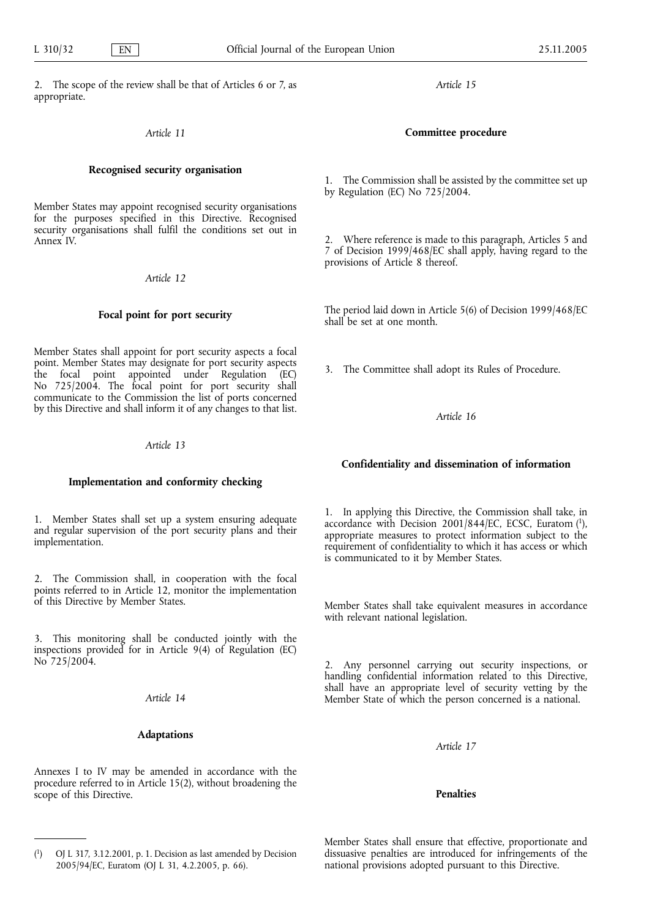2. The scope of the review shall be that of Articles 6 or 7, as appropriate.

# Article 11

## Recognised security organisation

Member States may appoint recognised security organisations for the purposes specified in this Directive. Recognised security organisations shall fulfil the conditions set out in Annex IV.

Article 12

## Focal point for port security

Member States shall appoint for port security aspects a focal point. Member States may designate for port security aspects the focal point appointed under Regulation (EC) No 725/2004. The focal point for port security shall communicate to the Commission the list of ports concerned by this Directive and shall inform it of any changes to that list.

#### Article 13

# Implementation and conformity checking

1. Member States shall set up a system ensuring adequate and regular supervision of the port security plans and their implementation.

2. The Commission shall, in cooperation with the focal points referred to in Article 12, monitor the implementation of this Directive by Member States.

3. This monitoring shall be conducted jointly with the inspections provided for in Article 9(4) of Regulation (EC) No 725/2004.

# Article 14

# Adaptations

Annexes I to IV may be amended in accordance with the procedure referred to in Article 15(2), without broadening the scope of this Directive.

Article 15

## Committee procedure

1. The Commission shall be assisted by the committee set up by Regulation (EC) No 725/2004.

2. Where reference is made to this paragraph, Articles 5 and 7 of Decision 1999/468/EC shall apply, having regard to the provisions of Article 8 thereof.

The period laid down in Article 5(6) of Decision 1999/468/EC shall be set at one month.

3. The Committee shall adopt its Rules of Procedure.

#### Article 16

## Confidentiality and dissemination of information

1. In applying this Directive, the Commission shall take, in accordance with Decision 2001/844/EC, ECSC, Euratom (1), appropriate measures to protect information subject to the requirement of confidentiality to which it has access or which is communicated to it by Member States.

Member States shall take equivalent measures in accordance with relevant national legislation.

2. Any personnel carrying out security inspections, or handling confidential information related to this Directive, shall have an appropriate level of security vetting by the Member State of which the person concerned is a national.

Article 17

## Penalties

Member States shall ensure that effective, proportionate and dissuasive penalties are introduced for infringements of the national provisions adopted pursuant to this Directive.

 $\binom{1}{1}$ 1) OJ L 317, 3.12.2001, p. 1. Decision as last amended by Decision 2005/94/EC, Euratom (OJ L 31, 4.2.2005, p. 66).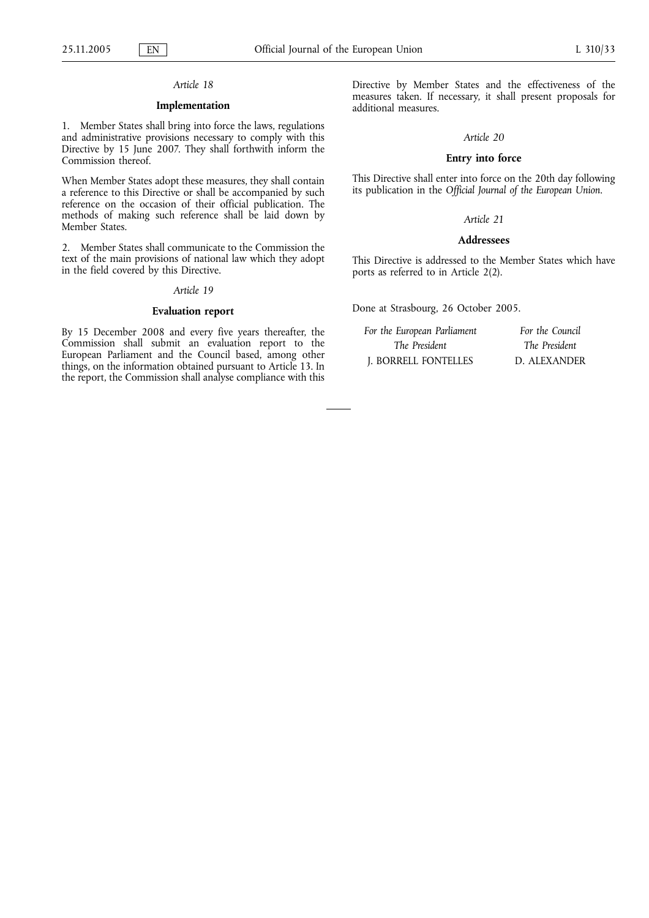# Article 18

# Implementation

1. Member States shall bring into force the laws, regulations and administrative provisions necessary to comply with this Directive by 15 June 2007. They shall forthwith inform the Commission thereof.

When Member States adopt these measures, they shall contain a reference to this Directive or shall be accompanied by such reference on the occasion of their official publication. The methods of making such reference shall be laid down by Member States.

2. Member States shall communicate to the Commission the text of the main provisions of national law which they adopt in the field covered by this Directive.

#### Article 19

#### Evaluation report

By 15 December 2008 and every five years thereafter, the Commission shall submit an evaluation report to the European Parliament and the Council based, among other things, on the information obtained pursuant to Article 13. In the report, the Commission shall analyse compliance with this Directive by Member States and the effectiveness of the measures taken. If necessary, it shall present proposals for additional measures.

### Article 20

### Entry into force

This Directive shall enter into force on the 20th day following its publication in the Official Journal of the European Union.

# Article 21

## Addressees

This Directive is addressed to the Member States which have ports as referred to in Article 2(2).

Done at Strasbourg, 26 October 2005.

| For the European Parliament | For the Council |
|-----------------------------|-----------------|
| The President               | The President   |
| J. BORRELL FONTELLES        | D. ALEXANDER    |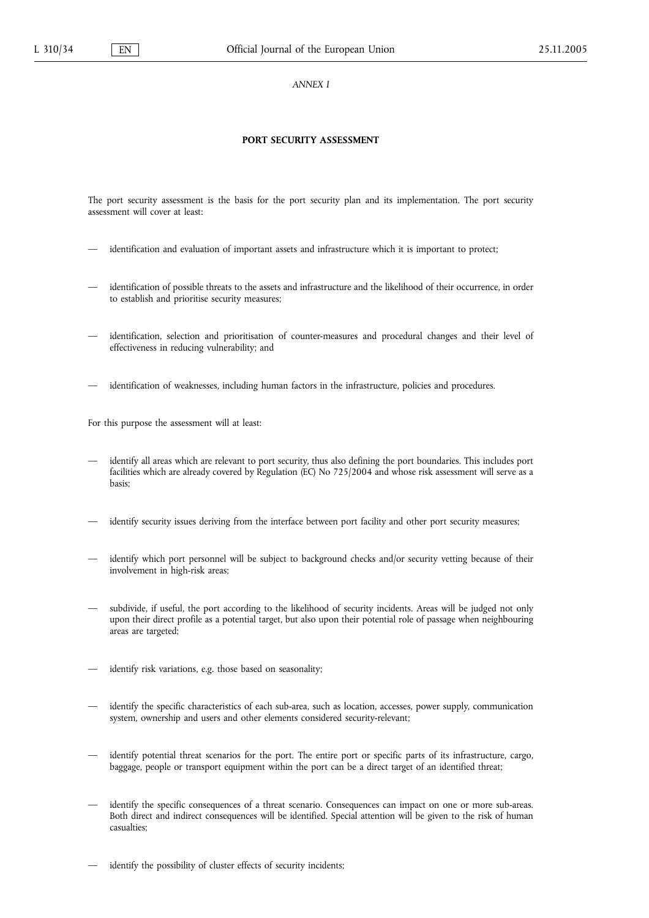ANNEX I

## PORT SECURITY ASSESSMENT

The port security assessment is the basis for the port security plan and its implementation. The port security assessment will cover at least:

- identification and evaluation of important assets and infrastructure which it is important to protect;
- identification of possible threats to the assets and infrastructure and the likelihood of their occurrence, in order to establish and prioritise security measures;
- identification, selection and prioritisation of counter-measures and procedural changes and their level of effectiveness in reducing vulnerability; and
- identification of weaknesses, including human factors in the infrastructure, policies and procedures.

For this purpose the assessment will at least:

- identify all areas which are relevant to port security, thus also defining the port boundaries. This includes port facilities which are already covered by Regulation (EC) No 725/2004 and whose risk assessment will serve as a basis;
- identify security issues deriving from the interface between port facility and other port security measures;
- identify which port personnel will be subject to background checks and/or security vetting because of their involvement in high-risk areas;
- subdivide, if useful, the port according to the likelihood of security incidents. Areas will be judged not only upon their direct profile as a potential target, but also upon their potential role of passage when neighbouring areas are targeted;
- identify risk variations, e.g. those based on seasonality;
- identify the specific characteristics of each sub-area, such as location, accesses, power supply, communication system, ownership and users and other elements considered security-relevant;
- identify potential threat scenarios for the port. The entire port or specific parts of its infrastructure, cargo, baggage, people or transport equipment within the port can be a direct target of an identified threat;
- identify the specific consequences of a threat scenario. Consequences can impact on one or more sub-areas. Both direct and indirect consequences will be identified. Special attention will be given to the risk of human casualties;
- identify the possibility of cluster effects of security incidents;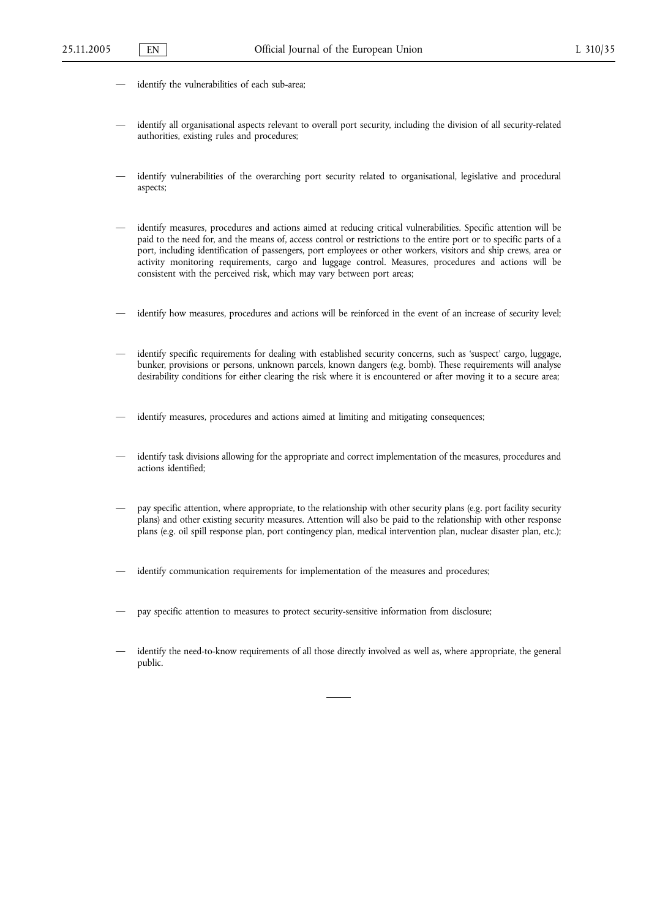- identify the vulnerabilities of each sub-area;
- identify all organisational aspects relevant to overall port security, including the division of all security-related authorities, existing rules and procedures;
- identify vulnerabilities of the overarching port security related to organisational, legislative and procedural aspects;
- identify measures, procedures and actions aimed at reducing critical vulnerabilities. Specific attention will be paid to the need for, and the means of, access control or restrictions to the entire port or to specific parts of a port, including identification of passengers, port employees or other workers, visitors and ship crews, area or activity monitoring requirements, cargo and luggage control. Measures, procedures and actions will be consistent with the perceived risk, which may vary between port areas;
- identify how measures, procedures and actions will be reinforced in the event of an increase of security level;
- identify specific requirements for dealing with established security concerns, such as 'suspect' cargo, luggage, bunker, provisions or persons, unknown parcels, known dangers (e.g. bomb). These requirements will analyse desirability conditions for either clearing the risk where it is encountered or after moving it to a secure area;
- identify measures, procedures and actions aimed at limiting and mitigating consequences;
- identify task divisions allowing for the appropriate and correct implementation of the measures, procedures and actions identified;
- pay specific attention, where appropriate, to the relationship with other security plans (e.g. port facility security plans) and other existing security measures. Attention will also be paid to the relationship with other response plans (e.g. oil spill response plan, port contingency plan, medical intervention plan, nuclear disaster plan, etc.);
- identify communication requirements for implementation of the measures and procedures;
- pay specific attention to measures to protect security-sensitive information from disclosure;
- identify the need-to-know requirements of all those directly involved as well as, where appropriate, the general public.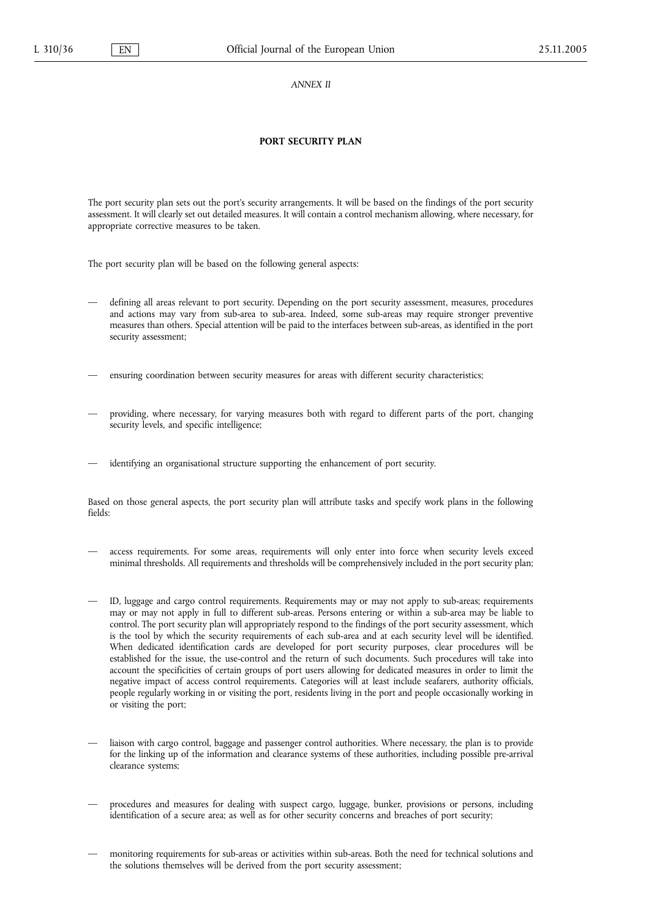ANNEX II

### PORT SECURITY PLAN

The port security plan sets out the port's security arrangements. It will be based on the findings of the port security assessment. It will clearly set out detailed measures. It will contain a control mechanism allowing, where necessary, for appropriate corrective measures to be taken.

The port security plan will be based on the following general aspects:

— defining all areas relevant to port security. Depending on the port security assessment, measures, procedures and actions may vary from sub-area to sub-area. Indeed, some sub-areas may require stronger preventive measures than others. Special attention will be paid to the interfaces between sub-areas, as identified in the port security assessment;

— ensuring coordination between security measures for areas with different security characteristics;

- providing, where necessary, for varying measures both with regard to different parts of the port, changing security levels, and specific intelligence;
- identifying an organisational structure supporting the enhancement of port security.

Based on those general aspects, the port security plan will attribute tasks and specify work plans in the following fields:

- access requirements. For some areas, requirements will only enter into force when security levels exceed minimal thresholds. All requirements and thresholds will be comprehensively included in the port security plan;
- ID, luggage and cargo control requirements. Requirements may or may not apply to sub-areas; requirements may or may not apply in full to different sub-areas. Persons entering or within a sub-area may be liable to control. The port security plan will appropriately respond to the findings of the port security assessment, which is the tool by which the security requirements of each sub-area and at each security level will be identified. When dedicated identification cards are developed for port security purposes, clear procedures will be established for the issue, the use-control and the return of such documents. Such procedures will take into account the specificities of certain groups of port users allowing for dedicated measures in order to limit the negative impact of access control requirements. Categories will at least include seafarers, authority officials, people regularly working in or visiting the port, residents living in the port and people occasionally working in or visiting the port;
- liaison with cargo control, baggage and passenger control authorities. Where necessary, the plan is to provide for the linking up of the information and clearance systems of these authorities, including possible pre-arrival clearance systems;
- procedures and measures for dealing with suspect cargo, luggage, bunker, provisions or persons, including identification of a secure area; as well as for other security concerns and breaches of port security;
- monitoring requirements for sub-areas or activities within sub-areas. Both the need for technical solutions and the solutions themselves will be derived from the port security assessment;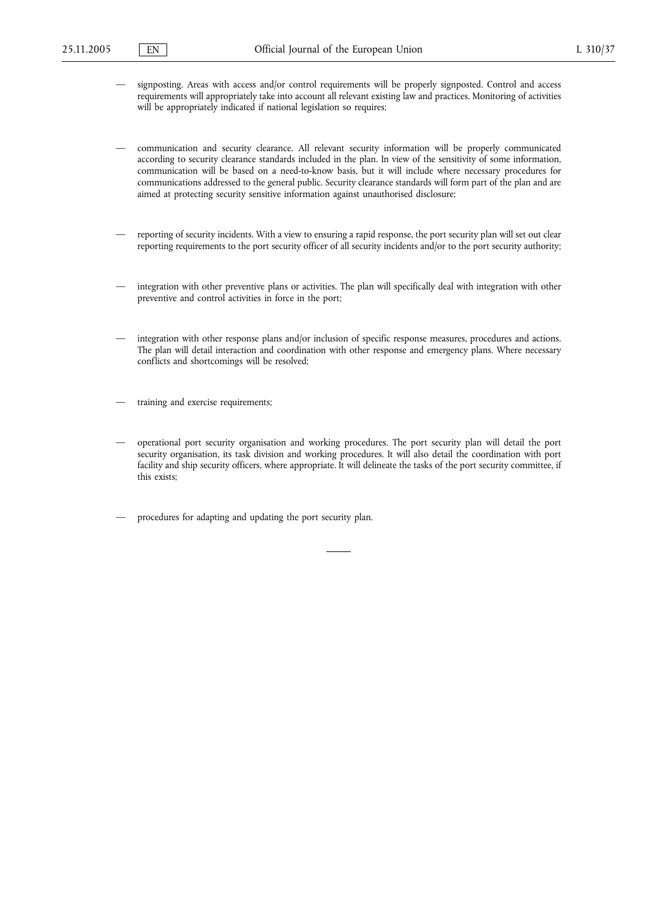- signposting. Areas with access and/or control requirements will be properly signposted. Control and access requirements will appropriately take into account all relevant existing law and practices. Monitoring of activities will be appropriately indicated if national legislation so requires;
- communication and security clearance. All relevant security information will be properly communicated according to security clearance standards included in the plan. In view of the sensitivity of some information, communication will be based on a need-to-know basis, but it will include where necessary procedures for communications addressed to the general public. Security clearance standards will form part of the plan and are aimed at protecting security sensitive information against unauthorised disclosure;
- reporting of security incidents. With a view to ensuring a rapid response, the port security plan will set out clear reporting requirements to the port security officer of all security incidents and/or to the port security authority;
- integration with other preventive plans or activities. The plan will specifically deal with integration with other preventive and control activities in force in the port;
- integration with other response plans and/or inclusion of specific response measures, procedures and actions. The plan will detail interaction and coordination with other response and emergency plans. Where necessary conflicts and shortcomings will be resolved;
- training and exercise requirements;
- operational port security organisation and working procedures. The port security plan will detail the port security organisation, its task division and working procedures. It will also detail the coordination with port facility and ship security officers, where appropriate. It will delineate the tasks of the port security committee, if this exists;
- procedures for adapting and updating the port security plan.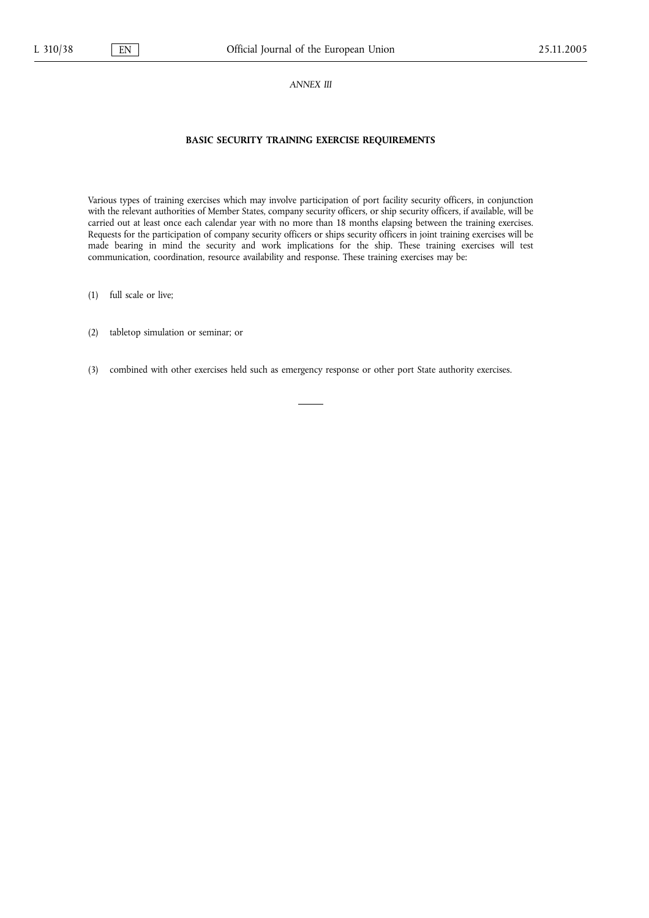#### ANNEX III

# BASIC SECURITY TRAINING EXERCISE REQUIREMENTS

Various types of training exercises which may involve participation of port facility security officers, in conjunction with the relevant authorities of Member States, company security officers, or ship security officers, if available, will be carried out at least once each calendar year with no more than 18 months elapsing between the training exercises. Requests for the participation of company security officers or ships security officers in joint training exercises will be made bearing in mind the security and work implications for the ship. These training exercises will test communication, coordination, resource availability and response. These training exercises may be:

(1) full scale or live;

(2) tabletop simulation or seminar; or

(3) combined with other exercises held such as emergency response or other port State authority exercises.